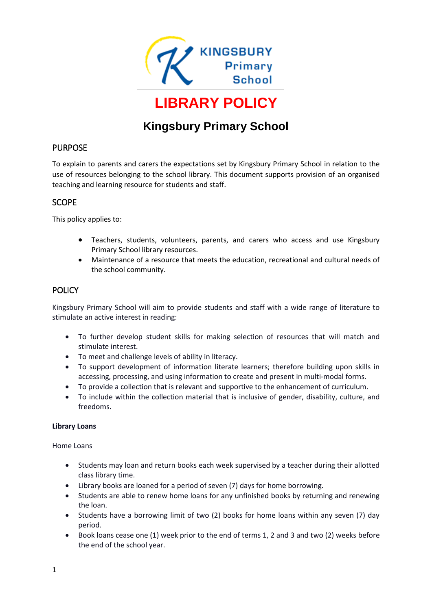

# **Kingsbury Primary School**

## PURPOSE

To explain to parents and carers the expectations set by Kingsbury Primary School in relation to the use of resources belonging to the school library. This document supports provision of an organised teaching and learning resource for students and staff.

## **SCOPE**

This policy applies to:

- Teachers, students, volunteers, parents, and carers who access and use Kingsbury Primary School library resources.
- Maintenance of a resource that meets the education, recreational and cultural needs of the school community.

# POLICY

Kingsbury Primary School will aim to provide students and staff with a wide range of literature to stimulate an active interest in reading:

- To further develop student skills for making selection of resources that will match and stimulate interest.
- To meet and challenge levels of ability in literacy.
- To support development of information literate learners; therefore building upon skills in accessing, processing, and using information to create and present in multi-modal forms.
- To provide a collection that is relevant and supportive to the enhancement of curriculum.
- To include within the collection material that is inclusive of gender, disability, culture, and freedoms.

#### **Library Loans**

#### Home Loans

- Students may loan and return books each week supervised by a teacher during their allotted class library time.
- Library books are loaned for a period of seven (7) days for home borrowing.
- Students are able to renew home loans for any unfinished books by returning and renewing the loan.
- Students have a borrowing limit of two (2) books for home loans within any seven (7) day period.
- Book loans cease one (1) week prior to the end of terms 1, 2 and 3 and two (2) weeks before the end of the school year.